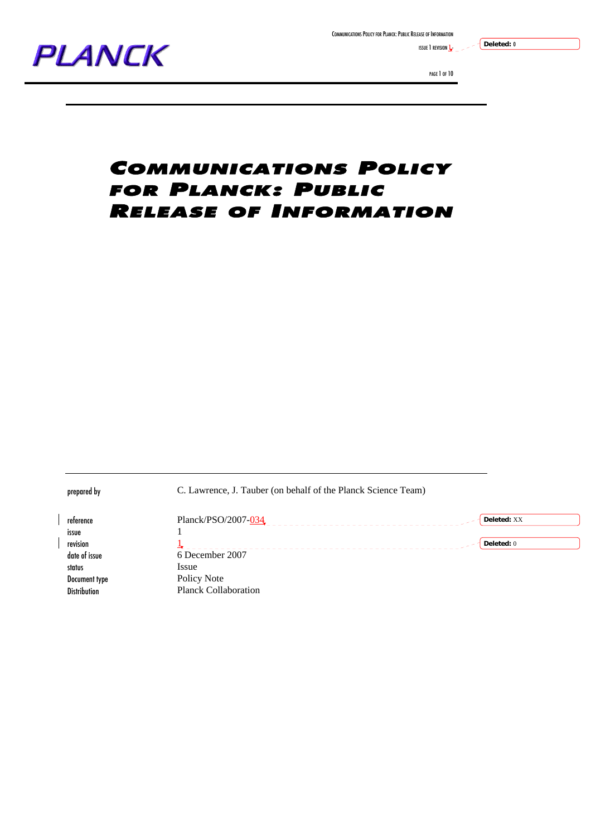

ISSUE  $1$  revision  $1$ 



PAGE 1 OF 10

**Deleted:** 0

### COMMUNICATIONS POLICY FOR PLANCK: PUBLIC RELEASE OF INFORMATION

prepared by C. Lawrence, J. Tauber (on behalf of the Planck Science Team) reference Planck/PSO/2007- $\frac{034}{1}$ **Deleted:** XX \_\_\_\_\_\_\_\_\_\_\_\_\_\_\_\_\_\_\_\_\_\_\_\_\_ issue **Deleted:** 0revision and the state of the state of the state of the state of the state of the state of the state of the sta  $- - - - -$ date of issue 6 December 2007 status Issue Document type Policy Note Distribution Planck Collaboration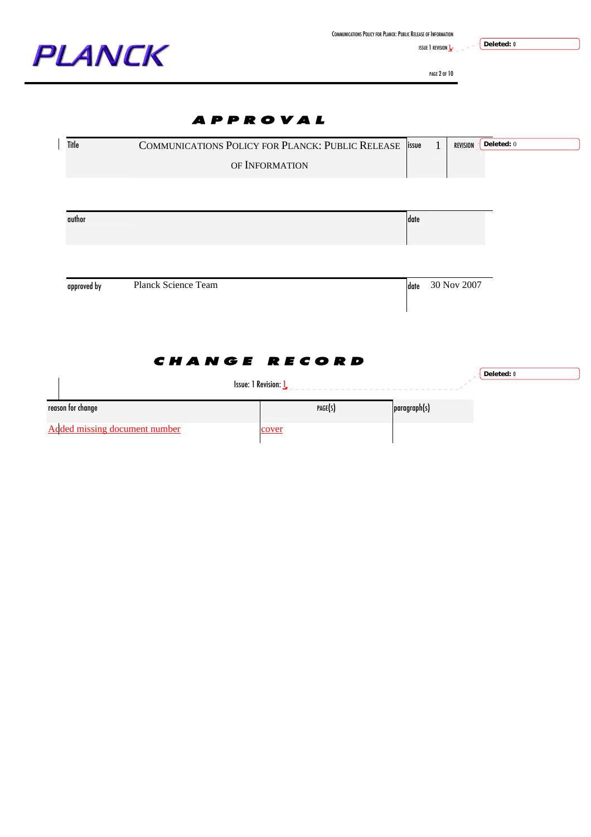

ISSUE 1 REVISION  $L_{-}$  - - - -

**Deleted:** 0

PAGE 2 OF 10

### APPROVAL

| Title             |                            | COMMUNICATIONS POLICY FOR PLANCK: PUBLIC RELEASE   issue | 1<br>REVISION       | Deleted: 0 |
|-------------------|----------------------------|----------------------------------------------------------|---------------------|------------|
|                   |                            | OF INFORMATION                                           |                     |            |
|                   |                            |                                                          |                     |            |
| author            |                            |                                                          | date                |            |
|                   |                            |                                                          |                     |            |
| approved by       | <b>Planck Science Team</b> |                                                          | 30 Nov 2007<br>date |            |
|                   |                            |                                                          |                     |            |
|                   |                            | <b>CHANGE RECORD</b>                                     |                     | Deleted: 0 |
|                   |                            | Issue: 1 Revision: $\underline{\mathbf{L}}$              |                     |            |
| reason for change |                            | PAGE(S)                                                  | paragraph(s)        |            |
|                   |                            |                                                          |                     |            |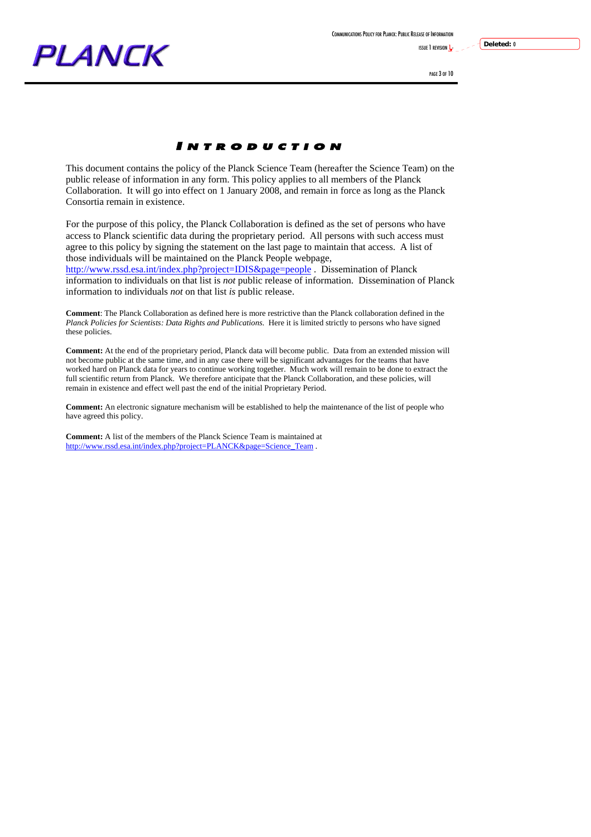COMMUNICATIONS POLICY FOR PLANCK: PUBLIC RELEASE OF INFORMATION

ISSUE 1 REVISION 1-



PAGE 3 OF 10

**Deleted:** 0

### I NTRODUCTION

This document contains the policy of the Planck Science Team (hereafter the Science Team) on the public release of information in any form. This policy applies to all members of the Planck Collaboration. It will go into effect on 1 January 2008, and remain in force as long as the Planck Consortia remain in existence.

For the purpose of this policy, the Planck Collaboration is defined as the set of persons who have access to Planck scientific data during the proprietary period. All persons with such access must agree to this policy by signing the statement on the last page to maintain that access. A list of those individuals will be maintained on the Planck People webpage,

http://www.rssd.esa.int/index.php?project=IDIS&page=people . Dissemination of Planck information to individuals on that list is *not* public release of information. Dissemination of Planck information to individuals *not* on that list *is* public release.

**Comment**: The Planck Collaboration as defined here is more restrictive than the Planck collaboration defined in the *Planck Policies for Scientists: Data Rights and Publications*. Here it is limited strictly to persons who have signed these policies.

**Comment:** At the end of the proprietary period, Planck data will become public. Data from an extended mission will not become public at the same time, and in any case there will be significant advantages for the teams that have worked hard on Planck data for years to continue working together. Much work will remain to be done to extract the full scientific return from Planck. We therefore anticipate that the Planck Collaboration, and these policies, will remain in existence and effect well past the end of the initial Proprietary Period.

**Comment:** An electronic signature mechanism will be established to help the maintenance of the list of people who have agreed this policy.

**Comment:** A list of the members of the Planck Science Team is maintained at http://www.rssd.esa.int/index.php?project=PLANCK&page=Science\_Team .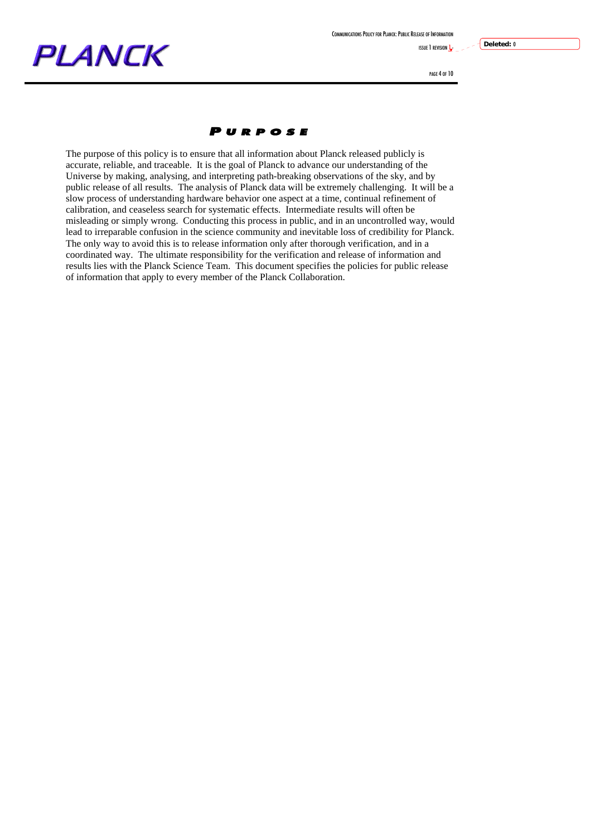

ISSUE 1 REVISION **1** 

# **PLANCK**

PAGE 4 OF 10

**Deleted:** 0

#### P URPOSE

The purpose of this policy is to ensure that all information about Planck released publicly is accurate, reliable, and traceable. It is the goal of Planck to advance our understanding of the Universe by making, analysing, and interpreting path-breaking observations of the sky, and by public release of all results. The analysis of Planck data will be extremely challenging. It will be a slow process of understanding hardware behavior one aspect at a time, continual refinement of calibration, and ceaseless search for systematic effects. Intermediate results will often be misleading or simply wrong. Conducting this process in public, and in an uncontrolled way, would lead to irreparable confusion in the science community and inevitable loss of credibility for Planck. The only way to avoid this is to release information only after thorough verification, and in a coordinated way. The ultimate responsibility for the verification and release of information and results lies with the Planck Science Team. This document specifies the policies for public release of information that apply to every member of the Planck Collaboration.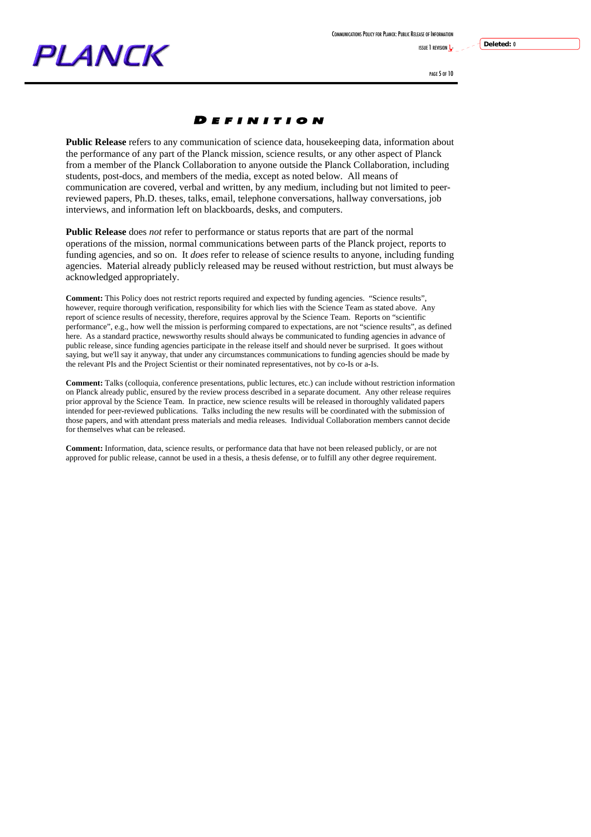ISSUE 1 REVISION 1-

PAGE 5 OF 10

**Deleted:** 0

### D EFINITION

**Public Release** refers to any communication of science data, housekeeping data, information about the performance of any part of the Planck mission, science results, or any other aspect of Planck from a member of the Planck Collaboration to anyone outside the Planck Collaboration, including students, post-docs, and members of the media, except as noted below. All means of communication are covered, verbal and written, by any medium, including but not limited to peerreviewed papers, Ph.D. theses, talks, email, telephone conversations, hallway conversations, job interviews, and information left on blackboards, desks, and computers.

**Public Release** does *not* refer to performance or status reports that are part of the normal operations of the mission, normal communications between parts of the Planck project, reports to funding agencies, and so on. It *does* refer to release of science results to anyone, including funding agencies. Material already publicly released may be reused without restriction, but must always be acknowledged appropriately.

**Comment:** This Policy does not restrict reports required and expected by funding agencies. "Science results", however, require thorough verification, responsibility for which lies with the Science Team as stated above. Any report of science results of necessity, therefore, requires approval by the Science Team. Reports on "scientific performance", e.g., how well the mission is performing compared to expectations, are not "science results", as defined here. As a standard practice, newsworthy results should always be communicated to funding agencies in advance of public release, since funding agencies participate in the release itself and should never be surprised. It goes without saying, but we'll say it anyway, that under any circumstances communications to funding agencies should be made by the relevant PIs and the Project Scientist or their nominated representatives, not by co-Is or a-Is.

**Comment:** Talks (colloquia, conference presentations, public lectures, etc.) can include without restriction information on Planck already public, ensured by the review process described in a separate document. Any other release requires prior approval by the Science Team. In practice, new science results will be released in thoroughly validated papers intended for peer-reviewed publications. Talks including the new results will be coordinated with the submission of those papers, and with attendant press materials and media releases. Individual Collaboration members cannot decide for themselves what can be released.

**Comment:** Information, data, science results, or performance data that have not been released publicly, or are not approved for public release, cannot be used in a thesis, a thesis defense, or to fulfill any other degree requirement.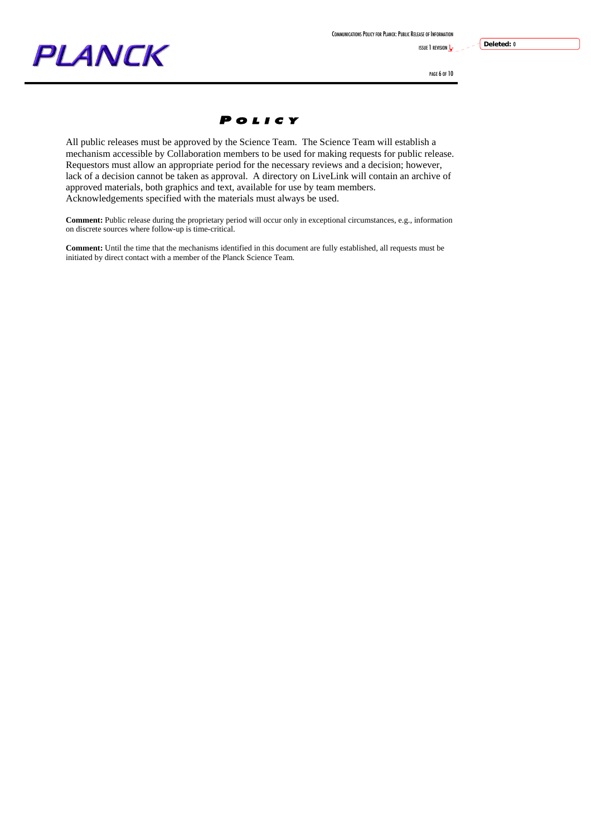

ISSUE 1 REVISION **1** 

# **PLANCK**

PAGE 6 OF 10

**Deleted:** 0



All public releases must be approved by the Science Team. The Science Team will establish a mechanism accessible by Collaboration members to be used for making requests for public release. Requestors must allow an appropriate period for the necessary reviews and a decision; however, lack of a decision cannot be taken as approval. A directory on LiveLink will contain an archive of approved materials, both graphics and text, available for use by team members. Acknowledgements specified with the materials must always be used.

**Comment:** Public release during the proprietary period will occur only in exceptional circumstances, e.g., information on discrete sources where follow-up is time-critical.

**Comment:** Until the time that the mechanisms identified in this document are fully established, all requests must be initiated by direct contact with a member of the Planck Science Team.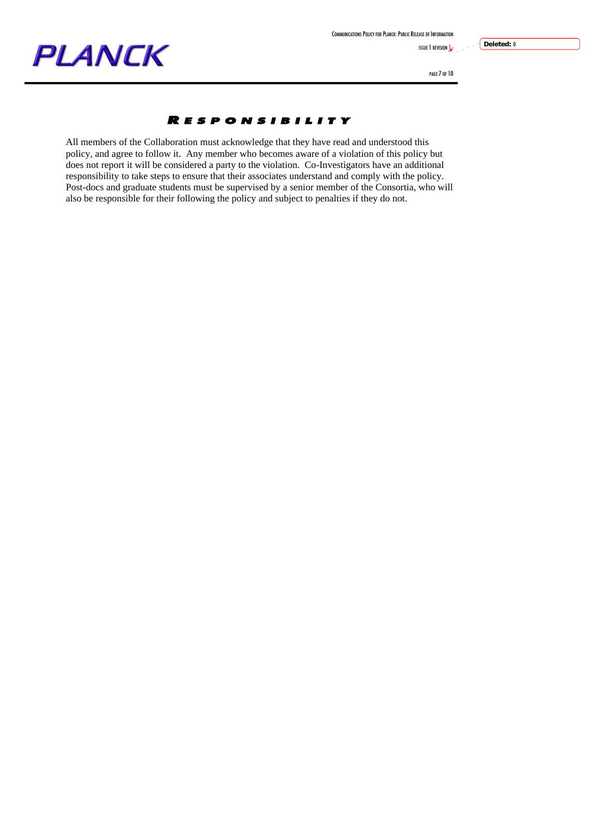**ISSUE 1 REVISION**  $\frac{1}{2}$ 

## **PLANCK**

PAGE 7 OF 10

**Deleted:** 0

### R ESPONSIBILITY

All members of the Collaboration must acknowledge that they have read and understood this policy, and agree to follow it. Any member who becomes aware of a violation of this policy but does not report it will be considered a party to the violation. Co-Investigators have an additional responsibility to take steps to ensure that their associates understand and comply with the policy. Post-docs and graduate students must be supervised by a senior member of the Consortia, who will also be responsible for their following the policy and subject to penalties if they do not.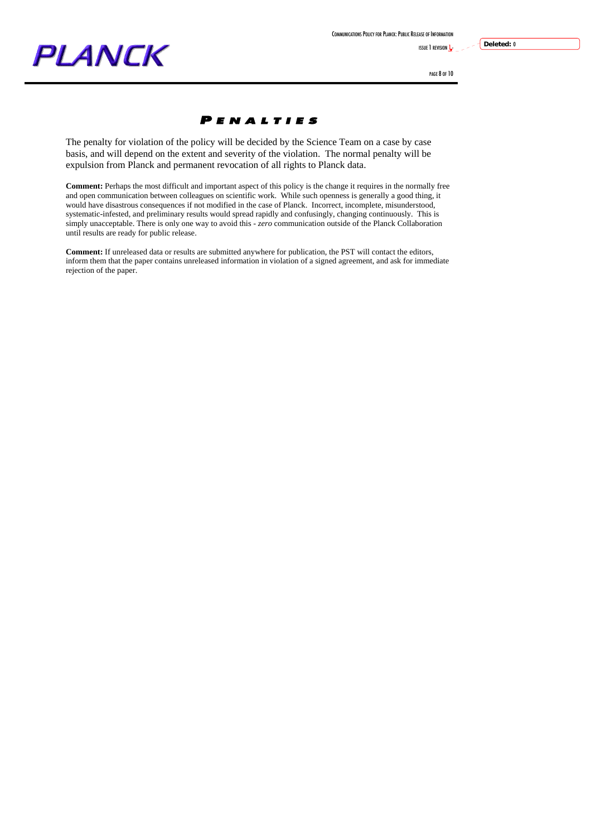COMMUNICATIONS POLICY FOR PLANCK:PUBLIC RELEASE OF INFORMATION

ISSUE 1 REVISION **1** 

# PLANCK

PAGE 8 OF 10

**Deleted:** 0

### P ENALTIES

The penalty for violation of the policy will be decided by the Science Team on a case by case basis, and will depend on the extent and severity of the violation. The normal penalty will be expulsion from Planck and permanent revocation of all rights to Planck data.

**Comment:** Perhaps the most difficult and important aspect of this policy is the change it requires in the normally free and open communication between colleagues on scientific work. While such openness is generally a good thing, it would have disastrous consequences if not modified in the case of Planck. Incorrect, incomplete, misunderstood, systematic-infested, and preliminary results would spread rapidly and confusingly, changing continuously. This is simply unacceptable. There is only one way to avoid this - *zero* communication outside of the Planck Collaboration until results are ready for public release.

**Comment:** If unreleased data or results are submitted anywhere for publication, the PST will contact the editors, inform them that the paper contains unreleased information in violation of a signed agreement, and ask for immediate rejection of the paper.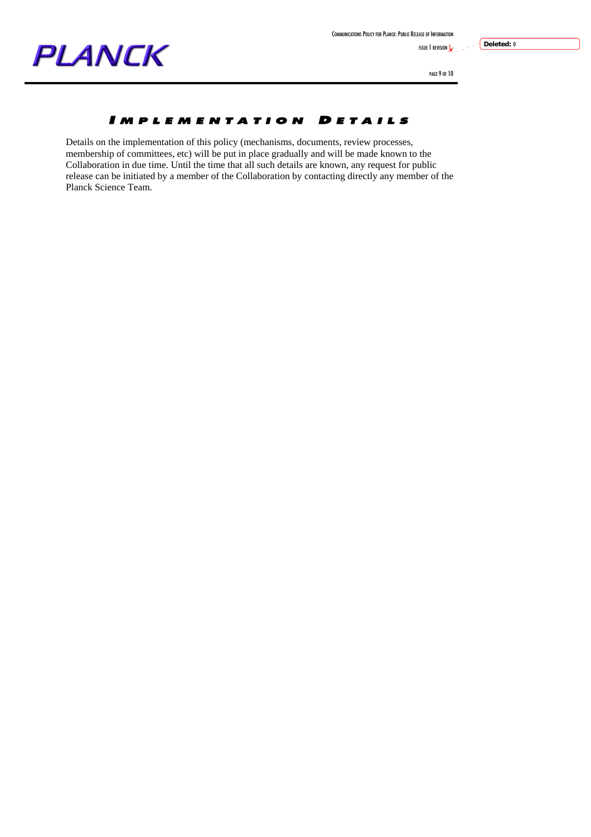

ISSUE 1 REVISION  $\mathbf{l}$ -

**Deleted:** 0

PAGE 9 OF 10

### IMPLEMENTATION DETAILS

Details on the implementation of this policy (mechanisms, documents, review processes, membership of committees, etc) will be put in place gradually and will be made known to the Collaboration in due time. Until the time that all such details are known, any request for public release can be initiated by a member of the Collaboration by contacting directly any member of the Planck Science Team.